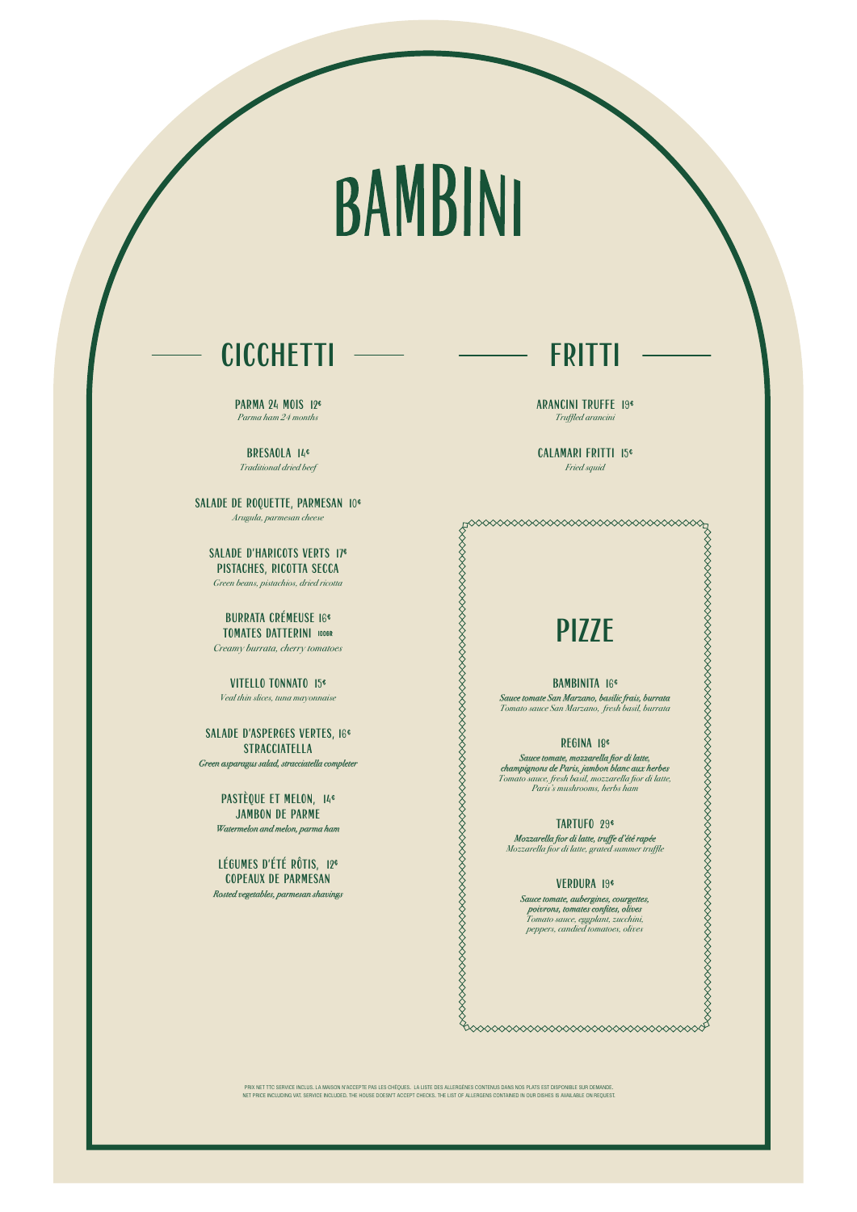# BAMBINI

## **CICCHETTI**

## PIZZE

### BAMBINITA 16€

*Sauce tomate San Marzano, basilic frais, burrata Tomato sauce San Marzano, fresh basil, burrata*

#### REGINA 18€

*Sauce tomate, mozzarella fior di latte, champignons de Paris, jambon blanc aux herbes Tomato sauce, fresh basil, mozzarella fior di latte, Paris's mushrooms, herbs ham*

**PARMA 24 MOIS 12€** *Parma ham 24 months*

#### TARTUFO 29€

*Mozzarella fior di latte, truffe d'été rapée Mozzarella fior di latte, grated summer truffle*

#### VERDURA 19€

*Sauce tomate, aubergines, courgettes, poivrons, tomates confites, olives*

SALADE D'ASPERGES VERTES, 16<sup>€</sup> STRACCIATELLA *Green asparagus salad, stracciatella completer* 

> *Tomato sauce, eggplant, zucchini, peppers, candied tomatoes, olives*

## PASTÈQUE ET MELON, 14<sup>€</sup> JAMBON DE PARME

BRESAOLA 14€ *Traditional dried beef*

SALADE DE ROQUETTE, PARMESAN 10€ *Arugula, parmesan cheese*

SALADE D'HARICOTS VERTS 17€ PISTACHES, RICOTTA SECCA

*Green beans, pistachios, dried ricotta*

BURRATA CRÉMEUSE 16€ TOMATES DATTERINI 100GR

*Creamy burrata, cherry tomatoes* 

VITELLO TONNATO 15€ *Veal thin slices, tuna mayonnaise*

*Watermelon and melon, parma ham* 

LÉGUMES D'ÉTÉ RÔTIS, 12€ COPEAUX DE PARMESAN *Rosted vegetables, parmesan shavings*  FRITTI

ARANCINI TRUFFE 19€ *Truffled arancini*

CALAMARI FRITTI 15€ *Fried squid*

 PRIX NET TTC SERVICE INCLUS. LA MAISON N'ACCEPTE PAS LES CHÈQUES. LA LISTE DES ALLERGÈNES CONTENUS DANS NOS PLATS EST DISPONIBLE SUR DEMANDE. NET PRICE INCLUDING VAT. SERVICE INCLUDED. THE HOUSE DOESN'T ACCEPT CHECKS. THE LIST OF ALLERGENS CONTAINED IN OUR DISHES IS AVAILABLE ON REQUEST.